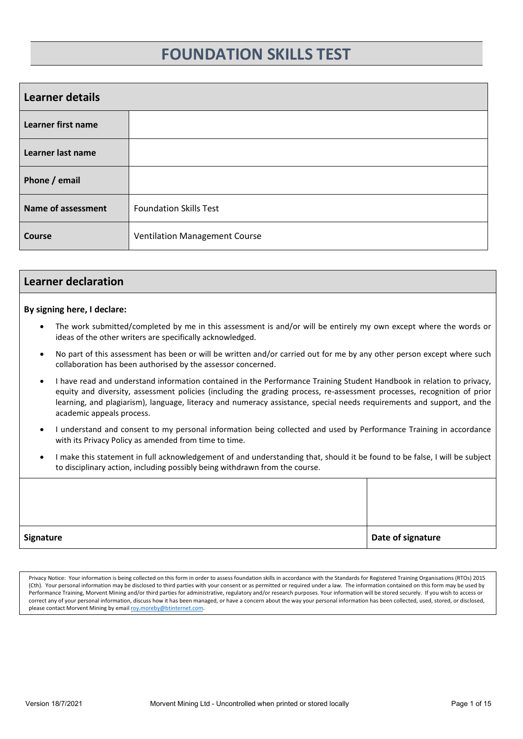# **FOUNDATION SKILLS TEST**

<span id="page-0-0"></span>

| <b>Learner details</b>    |                               |  |
|---------------------------|-------------------------------|--|
| Learner first name        |                               |  |
| Learner last name         |                               |  |
| Phone / email             |                               |  |
| <b>Name of assessment</b> | <b>Foundation Skills Test</b> |  |
| <b>Course</b>             | Ventilation Management Course |  |

### <span id="page-0-1"></span>**Learner declaration**

### **By signing here, I declare:**

- The work submitted/completed by me in this assessment is and/or will be entirely my own except where the words or ideas of the other writers are specifically acknowledged.
- No part of this assessment has been or will be written and/or carried out for me by any other person except where such collaboration has been authorised by the assessor concerned.
- I have read and understand information contained in the Performance Training Student Handbook in relation to privacy, equity and diversity, assessment policies (including the grading process, re-assessment processes, recognition of prior learning, and plagiarism), language, literacy and numeracy assistance, special needs requirements and support, and the academic appeals process.
- I understand and consent to my personal information being collected and used by Performance Training in accordance with its Privacy Policy as amended from time to time.
- I make this statement in full acknowledgement of and understanding that, should it be found to be false, I will be subject to disciplinary action, including possibly being withdrawn from the course.

Privacy Notice: Your information is being collected on this form in order to assess foundation skills in accordance with the Standards for Registered Training Organisations (RTOs) 2015 (Cth). Your personal information may be disclosed to third parties with your consent or as permitted or required under a law. The information contained on this form may be used by Performance Training, Morvent Mining and/or third parties for administrative, regulatory and/or research purposes. Your information will be stored securely. If you wish to access or correct any of your personal information, discuss how it has been managed, or have a concern about the way your personal information has been collected, used, stored, or disclosed, please contact Morvent Mining by email roy.moreby@btinternet.com.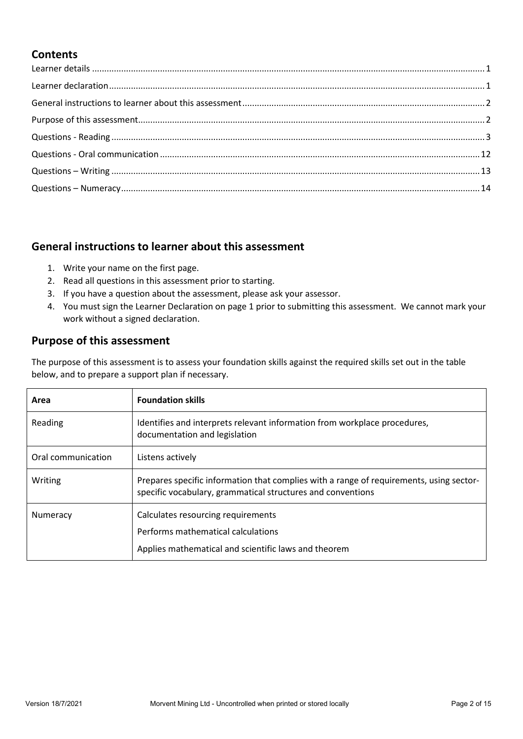## **Contents**

## <span id="page-1-0"></span>**General instructions to learner about this assessment**

- 1. Write your name on the first page.
- 2. Read all questions in this assessment prior to starting.
- 3. If you have a question about the assessment, please ask your assessor.
- 4. You must sign the Learner Declaration on page 1 prior to submitting this assessment. We cannot mark your work without a signed declaration.

## <span id="page-1-1"></span>**Purpose of this assessment**

The purpose of this assessment is to assess your foundation skills against the required skills set out in the table below, and to prepare a support plan if necessary.

| Area               | <b>Foundation skills</b>                                                                                                                               |
|--------------------|--------------------------------------------------------------------------------------------------------------------------------------------------------|
| Reading            | Identifies and interprets relevant information from workplace procedures,<br>documentation and legislation                                             |
| Oral communication | Listens actively                                                                                                                                       |
| Writing            | Prepares specific information that complies with a range of requirements, using sector-<br>specific vocabulary, grammatical structures and conventions |
| Numeracy           | Calculates resourcing requirements                                                                                                                     |
|                    | Performs mathematical calculations                                                                                                                     |
|                    | Applies mathematical and scientific laws and theorem                                                                                                   |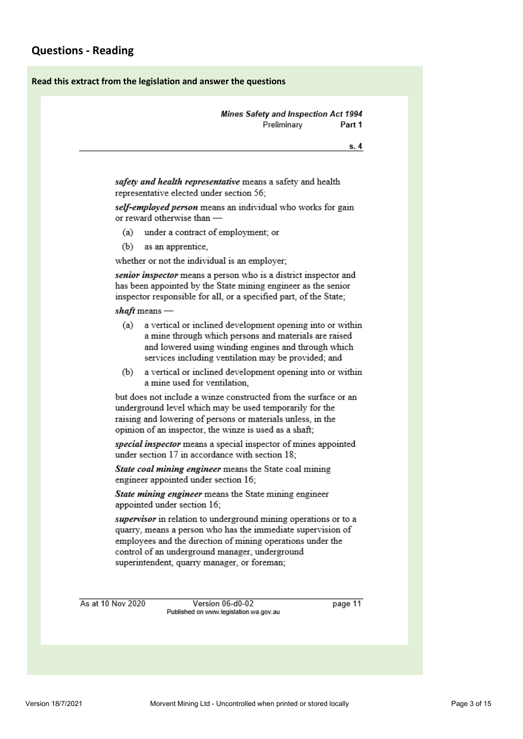### <span id="page-2-0"></span>**Read this extract from the legislation and answer the questions**

|                   |                                          |                                                                                                                                                                                                                                                                                               | Preliminary | Part 1  |
|-------------------|------------------------------------------|-----------------------------------------------------------------------------------------------------------------------------------------------------------------------------------------------------------------------------------------------------------------------------------------------|-------------|---------|
|                   |                                          |                                                                                                                                                                                                                                                                                               |             | s. 4    |
|                   |                                          |                                                                                                                                                                                                                                                                                               |             |         |
|                   | representative elected under section 56; | safety and health representative means a safety and health                                                                                                                                                                                                                                    |             |         |
|                   | or reward otherwise than -               | self-employed person means an individual who works for gain                                                                                                                                                                                                                                   |             |         |
| (a)               |                                          | under a contract of employment; or                                                                                                                                                                                                                                                            |             |         |
| (b)               | as an apprentice,                        |                                                                                                                                                                                                                                                                                               |             |         |
|                   |                                          | whether or not the individual is an employer;                                                                                                                                                                                                                                                 |             |         |
|                   |                                          | senior inspector means a person who is a district inspector and<br>has been appointed by the State mining engineer as the senior<br>inspector responsible for all, or a specified part, of the State;                                                                                         |             |         |
| shaft means —     |                                          |                                                                                                                                                                                                                                                                                               |             |         |
| (a)               |                                          | a vertical or inclined development opening into or within<br>a mine through which persons and materials are raised<br>and lowered using winding engines and through which<br>services including ventilation may be provided; and                                                              |             |         |
| (b)               | a mine used for ventilation.             | a vertical or inclined development opening into or within                                                                                                                                                                                                                                     |             |         |
|                   |                                          | but does not include a winze constructed from the surface or an<br>underground level which may be used temporarily for the<br>raising and lowering of persons or materials unless, in the<br>opinion of an inspector, the winze is used as a shaft;                                           |             |         |
|                   |                                          | special inspector means a special inspector of mines appointed<br>under section 17 in accordance with section 18;                                                                                                                                                                             |             |         |
|                   | engineer appointed under section 16;     | State coal mining engineer means the State coal mining                                                                                                                                                                                                                                        |             |         |
|                   | appointed under section 16;              | State mining engineer means the State mining engineer                                                                                                                                                                                                                                         |             |         |
|                   |                                          | supervisor in relation to underground mining operations or to a<br>quarry, means a person who has the immediate supervision of<br>employees and the direction of mining operations under the<br>control of an underground manager, underground<br>superintendent, quarry manager, or foreman; |             |         |
| As at 10 Nov 2020 |                                          | Version 06-d0-02                                                                                                                                                                                                                                                                              |             | page 11 |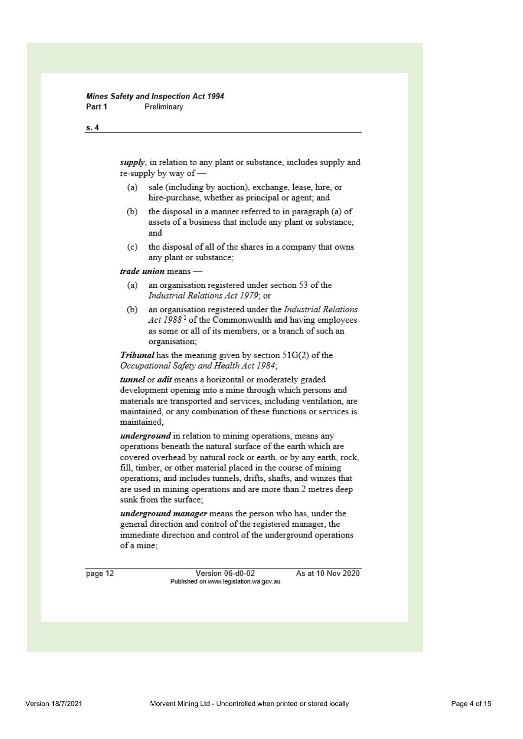#### Mines Safety and Inspection Act 1994 Part 1 Preliminary

#### $s.4$

supply, in relation to any plant or substance, includes supply and re-supply by way of -

- $(a)$ sale (including by auction), exchange, lease, hire, or hire-purchase, whether as principal or agent; and
- the disposal in a manner referred to in paragraph (a) of  $(b)$ assets of a business that include any plant or substance; and
- (c) the disposal of all of the shares in a company that owns any plant or substance;

trade union means -

- (a) an organisation registered under section 53 of the Industrial Relations Act 1979: or
- (b) an organisation registered under the Industrial Relations Act 1988<sup>1</sup> of the Commonwealth and having employees as some or all of its members, or a branch of such an organisation;

*Tribunal* has the meaning given by section  $51G(2)$  of the Occupational Safety and Health Act 1984;

tunnel or adit means a horizontal or moderately graded development opening into a mine through which persons and materials are transported and services, including ventilation, are maintained, or any combination of these functions or services is maintained:

*underground* in relation to mining operations, means any operations beneath the natural surface of the earth which are covered overhead by natural rock or earth, or by any earth, rock. fill, timber, or other material placed in the course of mining operations, and includes tunnels, drifts, shafts, and winzes that are used in mining operations and are more than 2 metres deep sunk from the surface;

underground manager means the person who has, under the general direction and control of the registered manager, the immediate direction and control of the underground operations of a mine:

page 12

Version 06-d0-02 Published on www.legislation.wa.gov.au As at 10 Nov 2020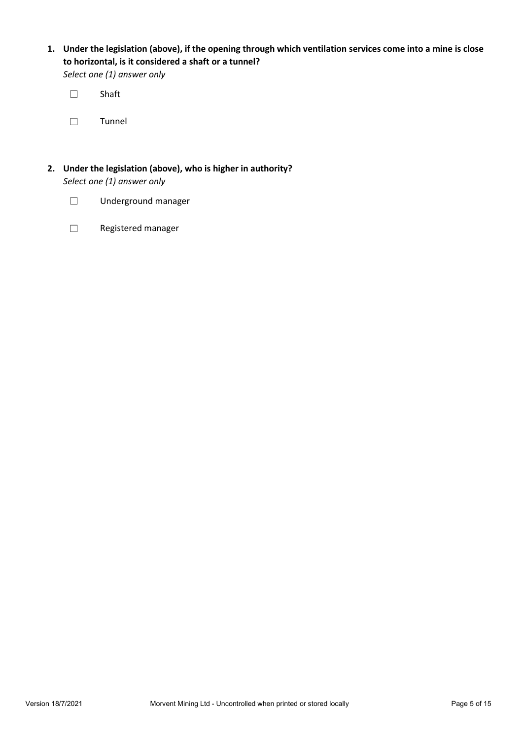**1. Under the legislation (above), if the opening through which ventilation services come into a mine is close to horizontal, is it considered a shaft or a tunnel?**

*Select one (1) answer only*

☐ Shaft

☐ Tunnel

- **2. Under the legislation (above), who is higher in authority?** *Select one (1) answer only*
	- ☐ Underground manager
	- ☐ Registered manager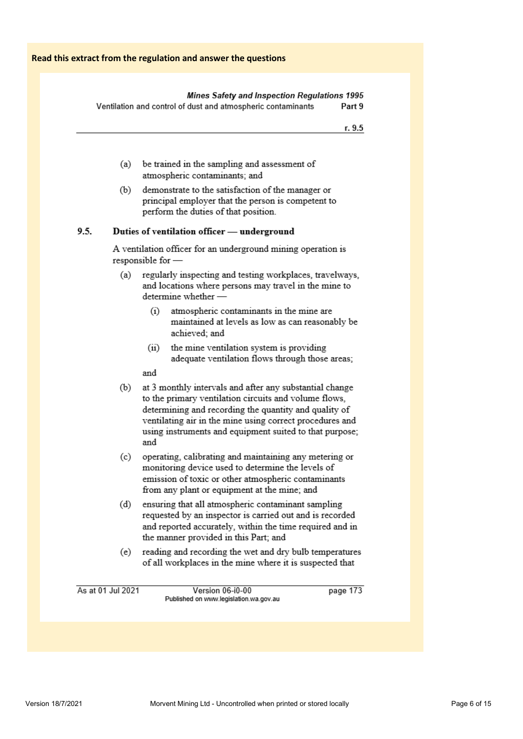### Mines Safety and Inspection Regulations 1995

Ventilation and control of dust and atmospheric contaminants Part 9

- r. 9.5
- (a) be trained in the sampling and assessment of atmospheric contaminants; and
- $(b)$ demonstrate to the satisfaction of the manager or principal employer that the person is competent to perform the duties of that position.

#### $9.5.$ Duties of ventilation officer - underground

A ventilation officer for an underground mining operation is responsible for -

- regularly inspecting and testing workplaces, travelways,  $(a)$ and locations where persons may travel in the mine to determine whether -
	- $(i)$ atmospheric contaminants in the mine are maintained at levels as low as can reasonably be achieved: and
	- $(ii)$ the mine ventilation system is providing adequate ventilation flows through those areas;

and

- $(b)$ at 3 monthly intervals and after any substantial change to the primary ventilation circuits and volume flows, determining and recording the quantity and quality of ventilating air in the mine using correct procedures and using instruments and equipment suited to that purpose; and
- (c) operating, calibrating and maintaining any metering or monitoring device used to determine the levels of emission of toxic or other atmospheric contaminants from any plant or equipment at the mine; and
- ensuring that all atmospheric contaminant sampling  $(d)$ requested by an inspector is carried out and is recorded and reported accurately, within the time required and in the manner provided in this Part; and
- reading and recording the wet and dry bulb temperatures  $(e)$ of all workplaces in the mine where it is suspected that

As at 01 Jul 2021

Version 06-i0-00 Published on www.legislation.wa.gov.au page 173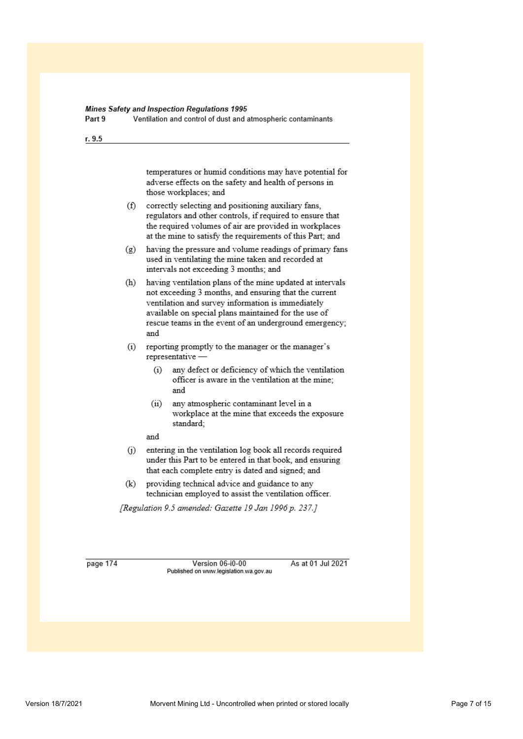### Mines Safety and Inspection Regulations 1995

Part 9 Ventilation and control of dust and atmospheric contaminants

### r. 9.5

temperatures or humid conditions may have potential for adverse effects on the safety and health of persons in those workplaces: and

- (f) correctly selecting and positioning auxiliary fans, regulators and other controls, if required to ensure that the required volumes of air are provided in workplaces at the mine to satisfy the requirements of this Part; and
- $(g)$  having the pressure and volume readings of primary fans used in ventilating the mine taken and recorded at intervals not exceeding 3 months; and

(h) having ventilation plans of the mine updated at intervals not exceeding 3 months, and ensuring that the current ventilation and survey information is immediately available on special plans maintained for the use of rescue teams in the event of an underground emergency; and

- reporting promptly to the manager or the manager's  $(i)$ representative -
	- $(i)$ any defect or deficiency of which the ventilation officer is aware in the ventilation at the mine; and
	- $(ii)$ any atmospheric contaminant level in a workplace at the mine that exceeds the exposure standard;
	- and
- $(i)$ entering in the ventilation log book all records required under this Part to be entered in that book, and ensuring that each complete entry is dated and signed; and
- providing technical advice and guidance to any  $(k)$ technician employed to assist the ventilation officer.

[Regulation 9.5 amended: Gazette 19 Jan 1996 p. 237.]

page 174

Version 06-i0-00 Published on www.legislation.wa.gov.au As at 01 Jul 2021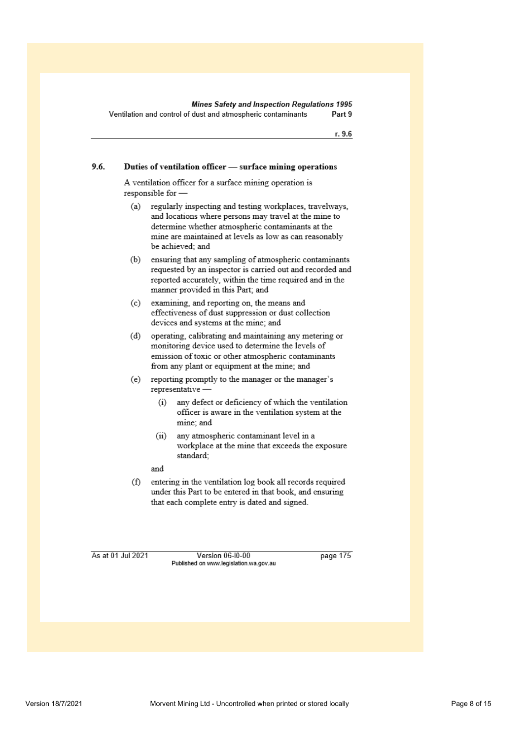r. 9.6

#### 9.6. Duties of ventilation officer - surface mining operations

A ventilation officer for a surface mining operation is responsible for -

regularly inspecting and testing workplaces, travelways,  $(a)$ and locations where persons may travel at the mine to determine whether atmospheric contaminants at the mine are maintained at levels as low as can reasonably be achieved: and

ensuring that any sampling of atmospheric contaminants  $(b)$ requested by an inspector is carried out and recorded and reported accurately, within the time required and in the manner provided in this Part; and

- examining, and reporting on, the means and  $(c)$ effectiveness of dust suppression or dust collection devices and systems at the mine; and
- operating, calibrating and maintaining any metering or  $(d)$ monitoring device used to determine the levels of emission of toxic or other atmospheric contaminants from any plant or equipment at the mine; and
- reporting promptly to the manager or the manager's (e) representative
	- any defect or deficiency of which the ventilation  $(i)$ officer is aware in the ventilation system at the mine; and
	- any atmospheric contaminant level in a  $(ii)$ workplace at the mine that exceeds the exposure standard;
	- and
- entering in the ventilation log book all records required  $(f)$ under this Part to be entered in that book, and ensuring that each complete entry is dated and signed.

As at 01 Jul 2021

Version 06-i0-00 Published on www.legislation.wa.gov.au page 175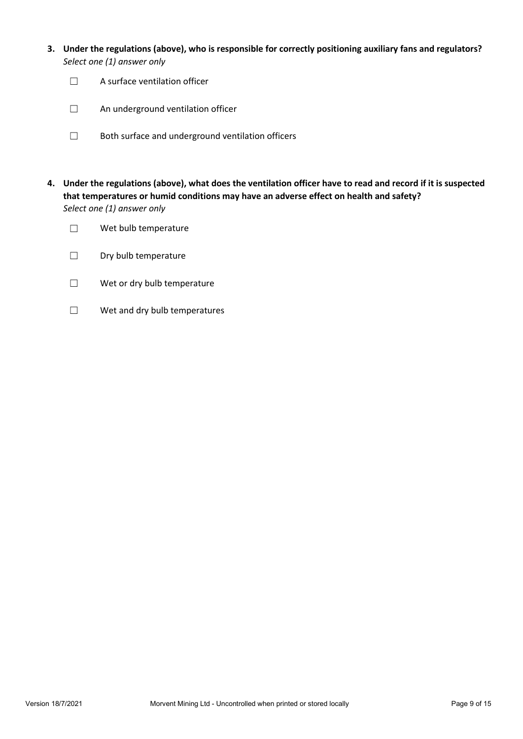- **3. Under the regulations (above), who is responsible for correctly positioning auxiliary fans and regulators?** *Select one (1) answer only*
	- ☐ A surface ventilation officer
	- □ An underground ventilation officer
	- ☐ Both surface and underground ventilation officers
- **4. Under the regulations (above), what does the ventilation officer have to read and record if it is suspected that temperatures or humid conditions may have an adverse effect on health and safety?** *Select one (1) answer only*
	- ☐ Wet bulb temperature
	- □ Dry bulb temperature
	- ☐ Wet or dry bulb temperature
	- ☐ Wet and dry bulb temperatures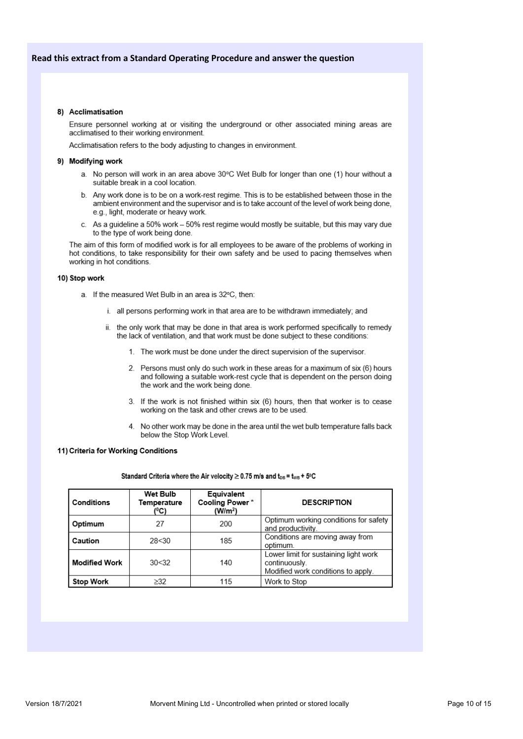### 8) Acclimatisation

Ensure personnel working at or visiting the underground or other associated mining areas are acclimatised to their working environment.

Acclimatisation refers to the body adjusting to changes in environment.

#### 9) Modifvina work

- a. No person will work in an area above 30°C Wet Bulb for longer than one (1) hour without a suitable break in a cool location.
- b. Any work done is to be on a work-rest regime. This is to be established between those in the ambient environment and the supervisor and is to take account of the level of work being done, e.g., light, moderate or heavy work.
- As a guideline a 50% work 50% rest regime would mostly be suitable, but this may vary due C. to the type of work being done.

The aim of this form of modified work is for all employees to be aware of the problems of working in hot conditions, to take responsibility for their own safety and be used to pacing themselves when working in hot conditions.

#### 10) Stop work

- a. If the measured Wet Bulb in an area is 32°C, then:
	- i. all persons performing work in that area are to be withdrawn immediately; and
	- ii. the only work that may be done in that area is work performed specifically to remedy the lack of ventilation, and that work must be done subject to these conditions:
		- 1. The work must be done under the direct supervision of the supervisor.
		- 2. Persons must only do such work in these areas for a maximum of six (6) hours and following a suitable work-rest cycle that is dependent on the person doing the work and the work being done.
		- 3. If the work is not finished within six (6) hours, then that worker is to cease working on the task and other crews are to be used.
		- 4. No other work may be done in the area until the wet bulb temperature falls back below the Stop Work Level.

#### 11) Criteria for Working Conditions

#### Standard Criteria where the Air velocity  $\geq$  0.75 m/s and t<sub>DB</sub> = t<sub>WB</sub> + 5°C

| l Conditions  | Wet Bulb<br>Temperature<br>(°C) | Equivalent<br>Cooling Power*<br>(W/m <sup>2</sup> ) | <b>DESCRIPTION</b>                                                                           |
|---------------|---------------------------------|-----------------------------------------------------|----------------------------------------------------------------------------------------------|
| Optimum       | 27                              | 200                                                 | Optimum working conditions for safety<br>and productivity.                                   |
| l Caution     | 28<30                           | 185                                                 | Conditions are moving away from<br>optimum.                                                  |
| Modified Work | 30<32                           | 140                                                 | Lower limit for sustaining light work<br>continuously.<br>Modified work conditions to apply. |
| Stop Work     | $\geq$ 32                       | 115                                                 | Work to Stop                                                                                 |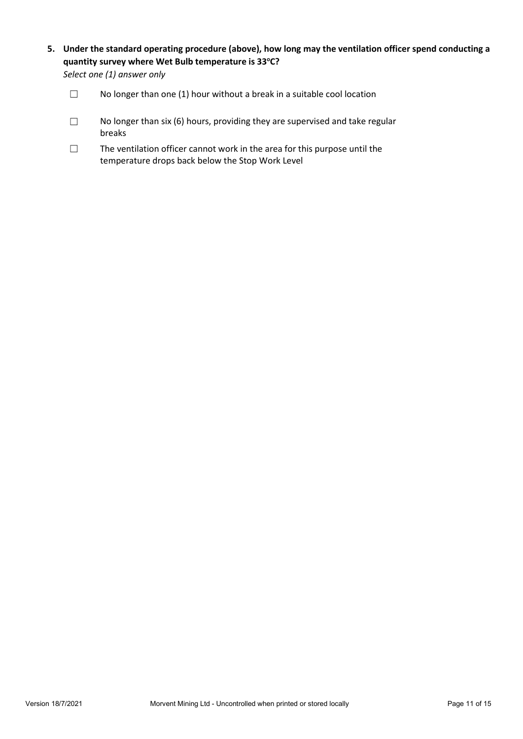**5. Under the standard operating procedure (above), how long may the ventilation officer spend conducting a quantity survey where Wet Bulb temperature is 33o C?**

*Select one (1) answer only*

- □ No longer than one (1) hour without a break in a suitable cool location
- $\Box$  No longer than six (6) hours, providing they are supervised and take regular breaks
- ☐ The ventilation officer cannot work in the area for this purpose until the temperature drops back below the Stop Work Level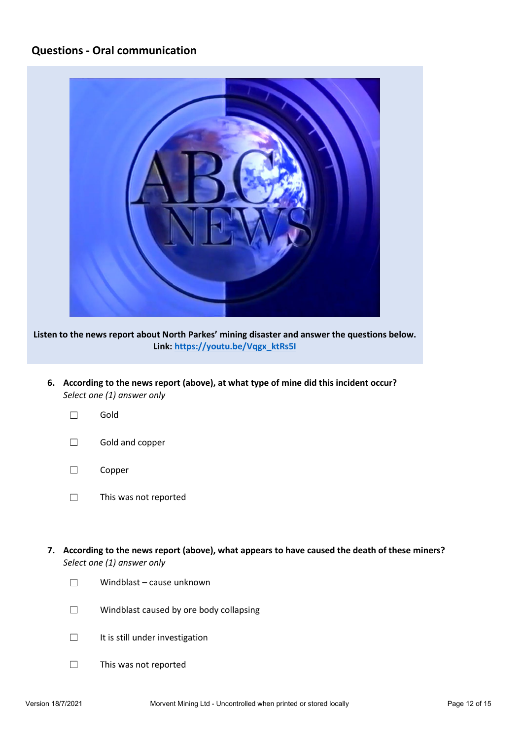### <span id="page-11-0"></span>**Questions - Oral communication**



**Listen to the news report about North Parkes' mining disaster and answer the questions below. Link: [https://youtu.be/Vqgx\\_ktRs5I](https://youtu.be/Vqgx_ktRs5I)**

- **6. According to the news report (above), at what type of mine did this incident occur?** *Select one (1) answer only*
	- ☐ Gold
	- ☐ Gold and copper
	- ☐ Copper
	- ☐ This was not reported
- **7. According to the news report (above), what appears to have caused the death of these miners?** *Select one (1) answer only*
	- ☐ Windblast cause unknown
	- ☐ Windblast caused by ore body collapsing
	- □ It is still under investigation
	- ☐ This was not reported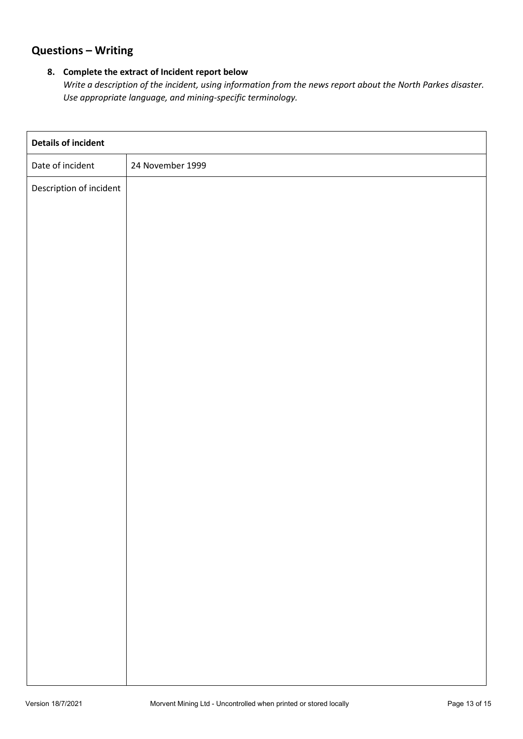## <span id="page-12-0"></span>**Questions – Writing**

### **8. Complete the extract of Incident report below**

*Write a description of the incident, using information from the news report about the North Parkes disaster. Use appropriate language, and mining-specific terminology.*

| <b>Details of incident</b> |                  |
|----------------------------|------------------|
| Date of incident           | 24 November 1999 |
| Description of incident    |                  |
|                            |                  |
|                            |                  |
|                            |                  |
|                            |                  |
|                            |                  |
|                            |                  |
|                            |                  |
|                            |                  |
|                            |                  |
|                            |                  |
|                            |                  |
|                            |                  |
|                            |                  |
|                            |                  |
|                            |                  |
|                            |                  |
|                            |                  |
|                            |                  |
|                            |                  |
|                            |                  |
|                            |                  |
|                            |                  |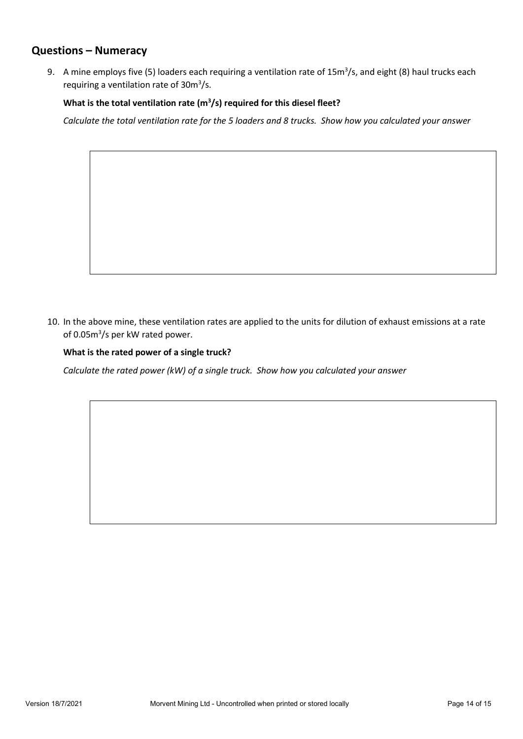### <span id="page-13-0"></span>**Questions – Numeracy**

9. A mine employs five (5) loaders each requiring a ventilation rate of 15m<sup>3</sup>/s, and eight (8) haul trucks each requiring a ventilation rate of 30m<sup>3</sup>/s.

### What is the total ventilation rate (m<sup>3</sup>/s) required for this diesel fleet?

*Calculate the total ventilation rate for the 5 loaders and 8 trucks. Show how you calculated your answer*

10. In the above mine, these ventilation rates are applied to the units for dilution of exhaust emissions at a rate of 0.05m<sup>3</sup>/s per kW rated power.

### **What is the rated power of a single truck?**

*Calculate the rated power (kW) of a single truck. Show how you calculated your answer*